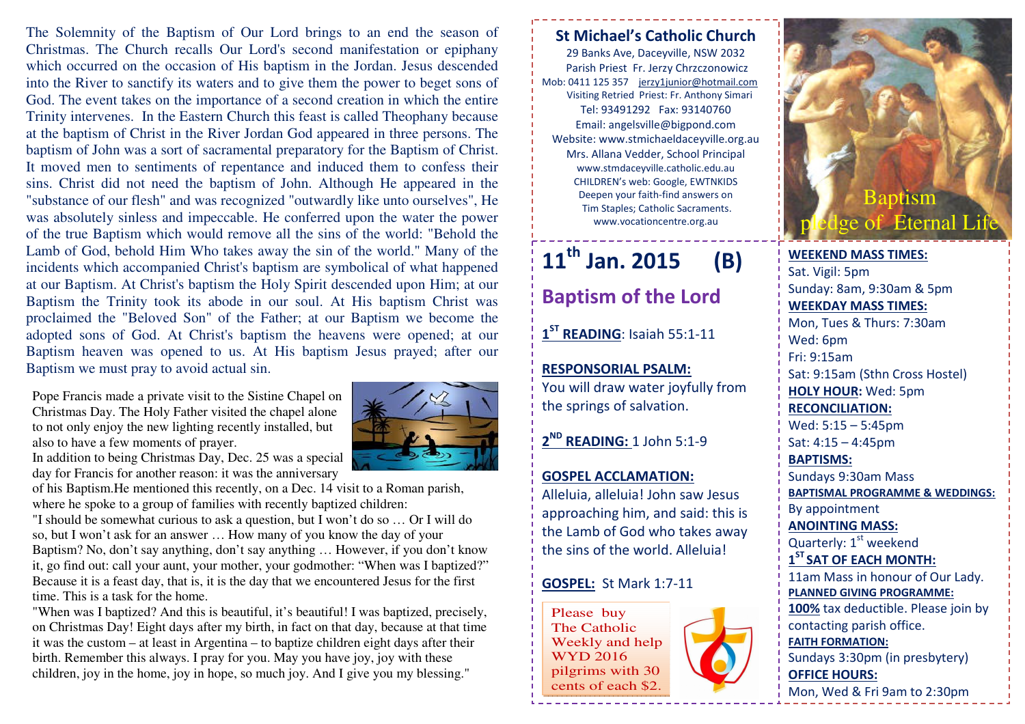The Solemnity of the Baptism of Our Lord brings to an end the season of Christmas. The Church recalls Our Lord's second manifestation or epiphany which occurred on the occasion of His baptism in the Jordan. Jesus descended into the River to sanctify its waters and to give them the power to beget sons of God. The event takes on the importance of a second creation in which the entire Trinity intervenes. In the Eastern Church this feast is called Theophany because at the baptism of Christ in the River Jordan God appeared in three persons. The baptism of John was a sort of sacramental preparatory for the Baptism of Christ. It moved men to sentiments of repentance and induced them to confess their sins. Christ did not need the baptism of John. Although He appeared in the "substance of our flesh" and was recognized "outwardly like unto ourselves", He was absolutely sinless and impeccable. He conferred upon the water the power of the true Baptism which would remove all the sins of the world: "Behold the Lamb of God, behold Him Who takes away the sin of the world." Many of the incidents which accompanied Christ's baptism are symbolical of what happened at our Baptism. At Christ's baptism the Holy Spirit descended upon Him; at our Baptism the Trinity took its abode in our soul. At His baptism Christ was proclaimed the "Beloved Son" of the Father; at our Baptism we become the adopted sons of God. At Christ's baptism the heavens were opened; at our Baptism heaven was opened to us. At His baptism Jesus prayed; after our Baptism we must pray to avoid actual sin.

Pope Francis made a private visit to the Sistine Chapel on Christmas Day. The Holy Father visited the chapel alone to not only enjoy the new lighting recently installed, but also to have a few moments of prayer.



 of his Baptism.He mentioned this recently, on a Dec. 14 visit to a Roman parish, where he spoke to a group of families with recently baptized children:

 "I should be somewhat curious to ask a question, but I won't do so … Or I will do so, but I won't ask for an answer … How many of you know the day of your Baptism? No, don't say anything, don't say anything … However, if you don't know it, go find out: call your aunt, your mother, your godmother: "When was I baptized?" Because it is a feast day, that is, it is the day that we encountered Jesus for the first time. This is a task for the home.

 "When was I baptized? And this is beautiful, it's beautiful! I was baptized, precisely, on Christmas Day! Eight days after my birth, in fact on that day, because at that time it was the custom – at least in Argentina – to baptize children eight days after their birth. Remember this always. I pray for you. May you have joy, joy with these children, joy in the home, joy in hope, so much joy. And I give you my blessing."



29 Banks Ave, Daceyville, NSW 2032 Parish Priest Fr. Jerzy Chrzczonowicz Mob: 0411 125 357 jerzy1junior@hotmail.com Visiting Retried Priest: Fr. Anthony Simari Tel: 93491292 Fax: 93140760 Email: angelsville@bigpond.com Website: www.stmichaeldaceyville.org.au Mrs. Allana Vedder, School Principal www.stmdaceyville.catholic.edu.au CHILDREN's web: Google, EWTNKIDS Deepen your faith-find answers on Tim Staples; Catholic Sacraments. www.vocationcentre.org.au

## 11<sup>th</sup> Jan. 2015 (B)

Baptism of the Lord

1<sup>ST</sup> READING: Isaiah 55:1-11

RESPONSORIAL PSALM: You will draw water joyfully from the springs of salvation.

2<sup>ND</sup> READING: 1 John 5:1-9

## GOSPEL ACCLAMATION:

Alleluia, alleluia! John saw Jesus approaching him, and said: this is the Lamb of God who takes away the sins of the world. Alleluia!

## GOSPEL: St Mark 1:7-11

Please buy The Catholic Weekly and help WYD 2016 pilgrims with 30 cents of each \$2.





WEEKEND MASS TIMES:Sat. Vigil: 5pm Sunday: 8am, 9:30am & 5pm WEEKDAY MASS TIMES: Mon, Tues & Thurs: 7:30am Wed: 6pm Fri: 9:15am Sat: 9:15am (Sthn Cross Hostel) HOLY HOUR: Wed: 5pm RECONCILIATION: Wed: 5:15 – 5:45pm Sat: 4:15 – 4:45pm BAPTISMS: Sundays 9:30am Mass BAPTISMAL PROGRAMME & WEDDINGS: By appointment ANOINTING MASS: Quarterly:  $1<sup>st</sup>$  weekend  $1<sup>ST</sup>$  SAT OF EACH MONTH: 11am Mass in honour of Our Lady. PLANNED GIVING PROGRAMME: 100% tax deductible. Please join by contacting parish office. FAITH FORMATION: Sundays 3:30pm (in presbytery) OFFICE HOURS: Mon, Wed & Fri 9am to 2:30pm